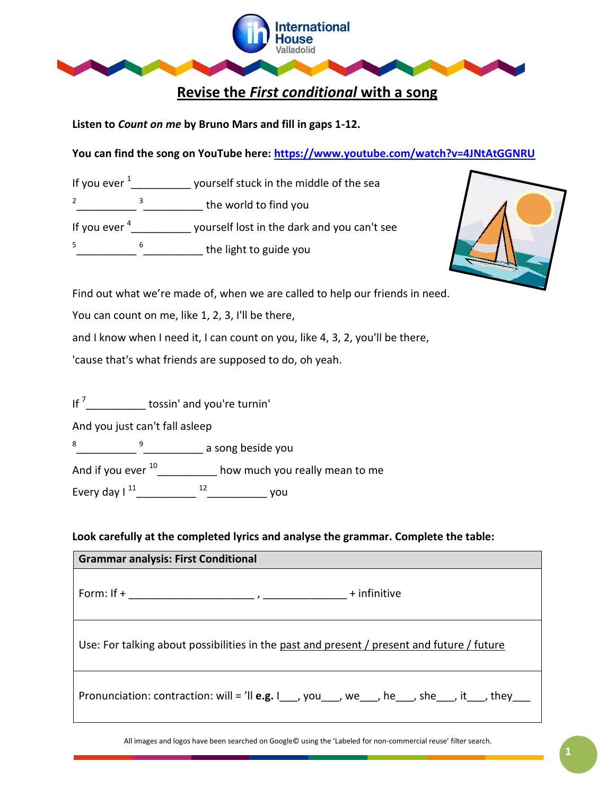

**Listen to** *Count on me* **by Bruno Mars and fill in gaps 1-12.** 

**You can find the song on YouTube here:<https://www.youtube.com/watch?v=4JNtAtGGNRU>**

If you ever  $\frac{1}{\sqrt{2}}$  = yourself stuck in the middle of the sea 2 \_\_\_\_\_\_\_\_\_\_ <sup>3</sup>\_\_\_\_\_\_\_\_\_\_\_\_\_ the world to find you If you ever  $\frac{4}{\sqrt{2}}$  yourself lost in the dark and you can't see 5 \_\_\_\_\_\_\_\_\_\_  $\frac{6}{2}$  the light to guide you



Find out what we're made of, when we are called to help our friends in need.

You can count on me, like 1, 2, 3, I'll be there,

and I know when I need it, I can count on you, like 4, 3, 2, you'll be there,

'cause that's what friends are supposed to do, oh yeah.

If  $\frac{7}{2}$  tossin' and you're turnin'

And you just can't fall asleep

8 \_\_\_\_\_\_\_\_\_\_ 9 \_\_\_\_\_\_\_\_\_\_ a song beside you

And if you ever  $^{10}$ \_\_\_\_\_\_\_\_\_\_\_ how much you really mean to me

Every day I  $^{11}$  \_\_\_\_\_\_\_\_\_\_\_\_\_ <sup>12</sup> \_\_\_\_\_\_\_\_\_\_\_\_\_\_\_ you

**Look carefully at the completed lyrics and analyse the grammar. Complete the table:**

| <b>Grammar analysis: First Conditional</b>                                                 |
|--------------------------------------------------------------------------------------------|
|                                                                                            |
| Use: For talking about possibilities in the past and present / present and future / future |
| Pronunciation: contraction: will = 'll <b>e.g.</b> $I_1$ , you, we, we, he, she, it, they, |

All images and logos have been searched on Google© using the 'Labeled for non-commercial reuse' filter search.